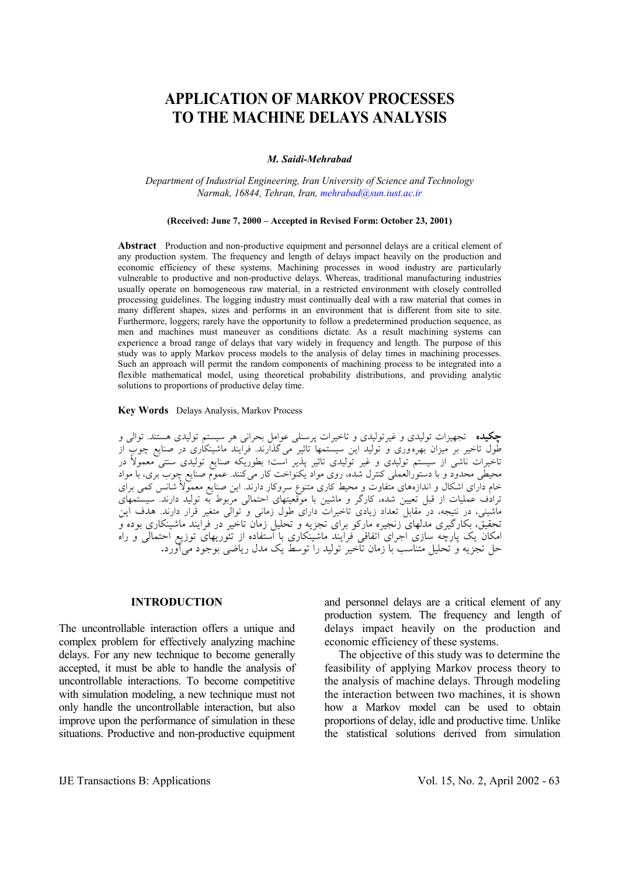# **APPLICATION OF MARKOV PROCESSES TO THE MACHINE DELAYS ANALYSIS**

#### *M. Saidi-Mehrabad*

#### *Department of Industrial Engineering, Iran University of Science and Technology Narmak, 16844, Tehran, Iran, mehrabad@sun.iust.ac.ir*

#### **(Received: June 7, 2000 – Accepted in Revised Form: October 23, 2001)**

**Abstract** Production and non-productive equipment and personnel delays are a critical element of any production system. The frequency and length of delays impact heavily on the production and economic efficiency of these systems. Machining processes in wood industry are particularly vulnerable to productive and non-productive delays. Whereas, traditional manufacturing industries usually operate on homogeneous raw material, in a restricted environment with closely controlled processing guidelines. The logging industry must continually deal with a raw material that comes in many different shapes, sizes and performs in an environment that is different from site to site. Furthermore, loggers; rarely have the opportunity to follow a predetermined production sequence, as men and machines must maneuver as conditions dictate. As a result machining systems can experience a broad range of delays that vary widely in frequency and length. The purpose of this study was to apply Markov process models to the analysis of delay times in machining processes. Such an approach will permit the random components of machining process to be integrated into a flexible mathematical model, using theoretical probability distributions, and providing analytic solutions to proportions of productive delay time.

#### **Key Words** Delays Analysis, Markov Process

**چكيده** تجهيزات توليدي و غيرتوليدي و تاخيرات پرسنلي عوامل بحراني هر سيستم توليدي هستند. توالي و طول تاخير بر ميزان بهره وري و توليد اين سيستمها تاثير ميگذارند. فرايند ماشينكاري در صنايع چوب از تاخيرات ناشي از سيستم توليدي و غير توليدي تاثير پذير است؛ بطوريكه صنايع توليدي سنتي معمولأ در محيطي محدود و با دستورالعملي كنترل شده، روي مواد يكنواخت كار ميكنند. عموم صنايع چوب بري، با مواد خام داراي اشكال و اندازههاي متفاوت و محيط كاري متنوع سروكار دارند . اين صنايع معمولأ شانس كمي براي ترادف عمليات از قبل تعيين شده، كارگر و ماشين با موقعيتهاي احتمالي مربوط به توليد دارند. سيستمهاي ماشيني، در نتيجه، در مقابل تعداد زيادي تاخيرات داراي طول زماني و توالي متغير قرار دارند. هدف اين تحقيق، بكارگيري مدلهاي زنجيره ماركو براي تجزيه و تحليل زمان تاخير در فرايند ماشينكاري بوده و امكان يك پارچه سازي اجراي اتفاقي فرايند ماشينكاري با استفاده از تئوريهاي توزيع احتمالي و راه حل تجزيه و تحليل متناسب با زمان تاخير توليد را توسط يك مدل رياضي بوجود ميآورد**.**

### **INTRODUCTION**

The uncontrollable interaction offers a unique and complex problem for effectively analyzing machine delays. For any new technique to become generally accepted, it must be able to handle the analysis of uncontrollable interactions. To become competitive with simulation modeling, a new technique must not only handle the uncontrollable interaction, but also improve upon the performance of simulation in these situations. Productive and non-productive equipment and personnel delays are a critical element of any production system. The frequency and length of delays impact heavily on the production and economic efficiency of these systems.

 The objective of this study was to determine the feasibility of applying Markov process theory to the analysis of machine delays. Through modeling the interaction between two machines, it is shown how a Markov model can be used to obtain proportions of delay, idle and productive time. Unlike the statistical solutions derived from simulation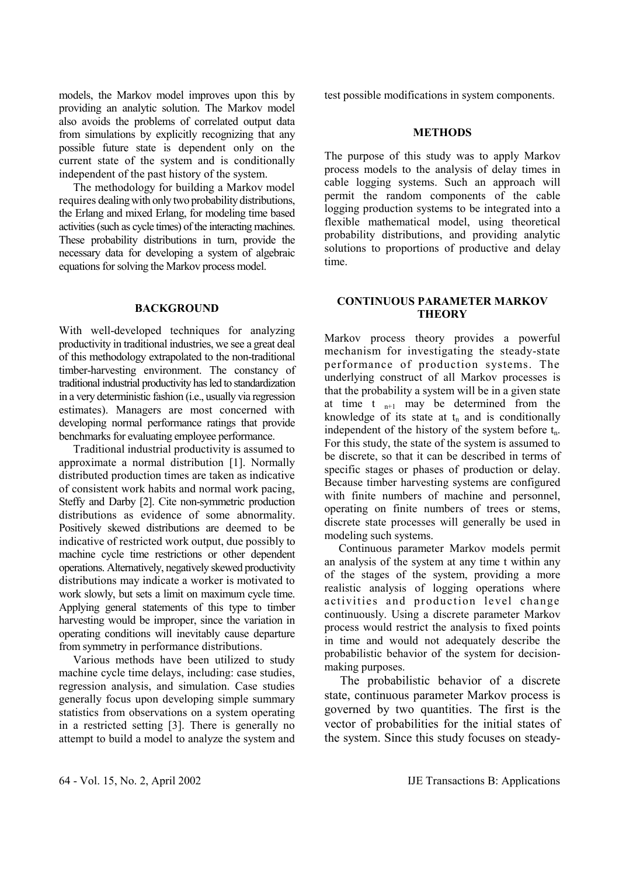models, the Markov model improves upon this by providing an analytic solution. The Markov model also avoids the problems of correlated output data from simulations by explicitly recognizing that any possible future state is dependent only on the current state of the system and is conditionally independent of the past history of the system.

 The methodology for building a Markov model requires dealing with only two probability distributions, the Erlang and mixed Erlang, for modeling time based activities (such as cycle times) of the interacting machines. These probability distributions in turn, provide the necessary data for developing a system of algebraic equations for solving the Markov process model.

# **BACKGROUND**

With well-developed techniques for analyzing productivity in traditional industries, we see a great deal of this methodology extrapolated to the non-traditional timber-harvesting environment. The constancy of traditional industrial productivity has led to standardization in a very deterministic fashion (i.e., usually via regression estimates). Managers are most concerned with developing normal performance ratings that provide benchmarks for evaluating employee performance.

 Traditional industrial productivity is assumed to approximate a normal distribution [1]. Normally distributed production times are taken as indicative of consistent work habits and normal work pacing, Steffy and Darby [2]. Cite non-symmetric production distributions as evidence of some abnormality. Positively skewed distributions are deemed to be indicative of restricted work output, due possibly to machine cycle time restrictions or other dependent operations. Alternatively, negatively skewed productivity distributions may indicate a worker is motivated to work slowly, but sets a limit on maximum cycle time. Applying general statements of this type to timber harvesting would be improper, since the variation in operating conditions will inevitably cause departure from symmetry in performance distributions.

 Various methods have been utilized to study machine cycle time delays, including: case studies, regression analysis, and simulation. Case studies generally focus upon developing simple summary statistics from observations on a system operating in a restricted setting [3]. There is generally no attempt to build a model to analyze the system and test possible modifications in system components.

## **METHODS**

The purpose of this study was to apply Markov process models to the analysis of delay times in cable logging systems. Such an approach will permit the random components of the cable logging production systems to be integrated into a flexible mathematical model, using theoretical probability distributions, and providing analytic solutions to proportions of productive and delay time.

# **CONTINUOUS PARAMETER MARKOV THEORY**

Markov process theory provides a powerful mechanism for investigating the steady-state performance of production systems. The underlying construct of all Markov processes is that the probability a system will be in a given state at time t  $_{n+1}$  may be determined from the knowledge of its state at  $t_n$  and is conditionally independent of the history of the system before  $t_n$ . For this study, the state of the system is assumed to be discrete, so that it can be described in terms of specific stages or phases of production or delay. Because timber harvesting systems are configured with finite numbers of machine and personnel. operating on finite numbers of trees or stems, discrete state processes will generally be used in modeling such systems.

 Continuous parameter Markov models permit an analysis of the system at any time t within any of the stages of the system, providing a more realistic analysis of logging operations where activities and production level change continuously. Using a discrete parameter Markov process would restrict the analysis to fixed points in time and would not adequately describe the probabilistic behavior of the system for decisionmaking purposes.

 The probabilistic behavior of a discrete state, continuous parameter Markov process is governed by two quantities. The first is the vector of probabilities for the initial states of the system. Since this study focuses on steady-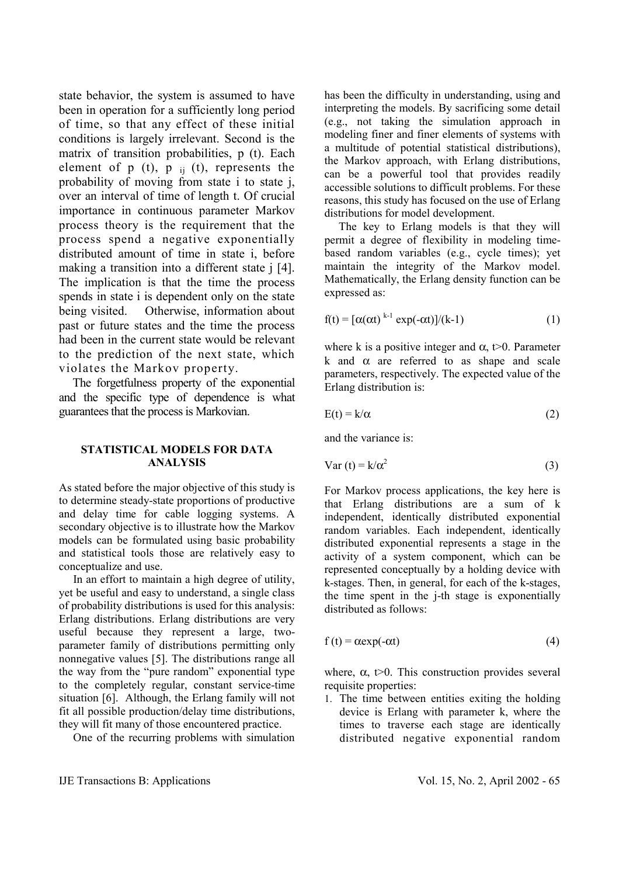state behavior, the system is assumed to have been in operation for a sufficiently long period of time, so that any effect of these initial conditions is largely irrelevant. Second is the matrix of transition probabilities, p (t). Each element of  $p(t)$ ,  $p_{ii}(t)$ , represents the probability of moving from state i to state j, over an interval of time of length t. Of crucial importance in continuous parameter Markov process theory is the requirement that the process spend a negative exponentially distributed amount of time in state i, before making a transition into a different state *i* [4]. The implication is that the time the process spends in state i is dependent only on the state being visited. Otherwise, information about past or future states and the time the process had been in the current state would be relevant to the prediction of the next state, which violates the Markov property.

 The forgetfulness property of the exponential and the specific type of dependence is what guarantees that the process is Markovian.

# **STATISTICAL MODELS FOR DATA ANALYSIS**

As stated before the major objective of this study is to determine steady-state proportions of productive and delay time for cable logging systems. A secondary objective is to illustrate how the Markov models can be formulated using basic probability and statistical tools those are relatively easy to conceptualize and use.

 In an effort to maintain a high degree of utility, yet be useful and easy to understand, a single class of probability distributions is used for this analysis: Erlang distributions. Erlang distributions are very useful because they represent a large, twoparameter family of distributions permitting only nonnegative values [5]. The distributions range all the way from the "pure random" exponential type to the completely regular, constant service-time situation [6]. Although, the Erlang family will not fit all possible production/delay time distributions, they will fit many of those encountered practice.

One of the recurring problems with simulation

has been the difficulty in understanding, using and interpreting the models. By sacrificing some detail (e.g., not taking the simulation approach in modeling finer and finer elements of systems with a multitude of potential statistical distributions), the Markov approach, with Erlang distributions, can be a powerful tool that provides readily accessible solutions to difficult problems. For these reasons, this study has focused on the use of Erlang distributions for model development.

 The key to Erlang models is that they will permit a degree of flexibility in modeling timebased random variables (e.g., cycle times); yet maintain the integrity of the Markov model. Mathematically, the Erlang density function can be expressed as:

$$
f(t) = [\alpha(\alpha t)^{k-1} \exp(-\alpha t)]/(k-1)
$$
 (1)

where k is a positive integer and  $\alpha$ , t is 0. Parameter k and  $\alpha$  are referred to as shape and scale parameters, respectively. The expected value of the Erlang distribution is:

$$
E(t) = k/\alpha \tag{2}
$$

and the variance is:

$$
Var(t) = k/\alpha^2
$$
 (3)

For Markov process applications, the key here is that Erlang distributions are a sum of k independent, identically distributed exponential random variables. Each independent, identically distributed exponential represents a stage in the activity of a system component, which can be represented conceptually by a holding device with k-stages. Then, in general, for each of the k-stages, the time spent in the j-th stage is exponentially distributed as follows:

$$
f(t) = \alpha \exp(-\alpha t) \tag{4}
$$

where,  $\alpha$ ,  $t>0$ . This construction provides several requisite properties:

1. The time between entities exiting the holding device is Erlang with parameter k, where the times to traverse each stage are identically distributed negative exponential random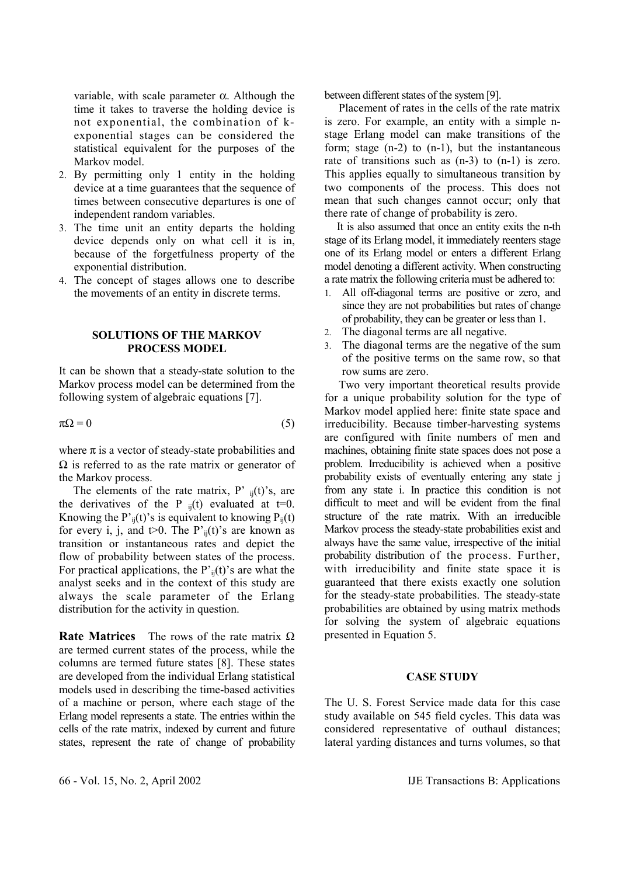variable, with scale parameter α. Although the time it takes to traverse the holding device is not exponential, the combination of kexponential stages can be considered the statistical equivalent for the purposes of the Markov model.

- 2. By permitting only 1 entity in the holding device at a time guarantees that the sequence of times between consecutive departures is one of independent random variables.
- 3. The time unit an entity departs the holding device depends only on what cell it is in, because of the forgetfulness property of the exponential distribution.
- 4. The concept of stages allows one to describe the movements of an entity in discrete terms.

## **SOLUTIONS OF THE MARKOV PROCESS MODEL**

It can be shown that a steady-state solution to the Markov process model can be determined from the following system of algebraic equations [7].

 $\pi\Omega = 0$  (5)

where  $\pi$  is a vector of steady-state probabilities and  $\Omega$  is referred to as the rate matrix or generator of the Markov process.

The elements of the rate matrix, P'  $_{ii}(t)$ 's, are the derivatives of the P  $_{ii}(t)$  evaluated at t=0. Knowing the P'<sub>ii</sub>(t)'s is equivalent to knowing  $P_{ii}(t)$ for every i, j, and  $t>0$ . The P'<sub>ii</sub>(t)'s are known as transition or instantaneous rates and depict the flow of probability between states of the process. For practical applications, the  $P'_{ii}(t)$ 's are what the analyst seeks and in the context of this study are always the scale parameter of the Erlang distribution for the activity in question.

**Rate Matrices** The rows of the rate matrix Ω are termed current states of the process, while the columns are termed future states [8]. These states are developed from the individual Erlang statistical models used in describing the time-based activities of a machine or person, where each stage of the Erlang model represents a state. The entries within the cells of the rate matrix, indexed by current and future states, represent the rate of change of probability between different states of the system [9].

 Placement of rates in the cells of the rate matrix is zero. For example, an entity with a simple nstage Erlang model can make transitions of the form; stage (n-2) to (n-1), but the instantaneous rate of transitions such as (n-3) to (n-1) is zero. This applies equally to simultaneous transition by two components of the process. This does not mean that such changes cannot occur; only that there rate of change of probability is zero.

 It is also assumed that once an entity exits the n-th stage of its Erlang model, it immediately reenters stage one of its Erlang model or enters a different Erlang model denoting a different activity. When constructing a rate matrix the following criteria must be adhered to:

- 1. All off-diagonal terms are positive or zero, and since they are not probabilities but rates of change of probability, they can be greater or less than 1.
- 2. The diagonal terms are all negative.
- 3. The diagonal terms are the negative of the sum of the positive terms on the same row, so that row sums are zero.

 Two very important theoretical results provide for a unique probability solution for the type of Markov model applied here: finite state space and irreducibility. Because timber-harvesting systems are configured with finite numbers of men and machines, obtaining finite state spaces does not pose a problem. Irreducibility is achieved when a positive probability exists of eventually entering any state j from any state i. In practice this condition is not difficult to meet and will be evident from the final structure of the rate matrix. With an irreducible Markov process the steady-state probabilities exist and always have the same value, irrespective of the initial probability distribution of the process. Further, with irreducibility and finite state space it is guaranteed that there exists exactly one solution for the steady-state probabilities. The steady-state probabilities are obtained by using matrix methods for solving the system of algebraic equations presented in Equation 5.

# **CASE STUDY**

The U. S. Forest Service made data for this case study available on 545 field cycles. This data was considered representative of outhaul distances; lateral yarding distances and turns volumes, so that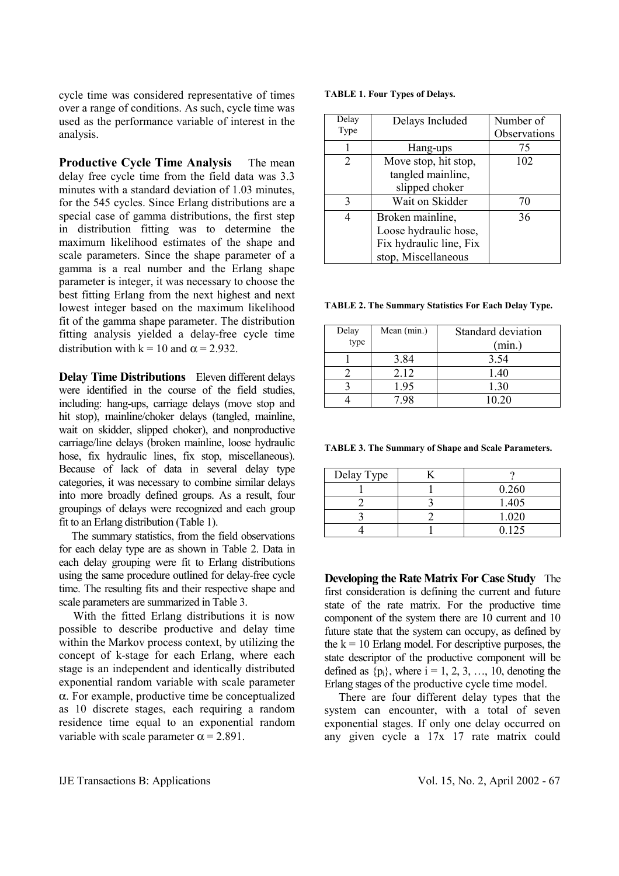cycle time was considered representative of times over a range of conditions. As such, cycle time was used as the performance variable of interest in the analysis.

**Productive Cycle Time Analysis** The mean delay free cycle time from the field data was 3.3 minutes with a standard deviation of 1.03 minutes, for the 545 cycles. Since Erlang distributions are a special case of gamma distributions, the first step in distribution fitting was to determine the maximum likelihood estimates of the shape and scale parameters. Since the shape parameter of a gamma is a real number and the Erlang shape parameter is integer, it was necessary to choose the best fitting Erlang from the next highest and next lowest integer based on the maximum likelihood fit of the gamma shape parameter. The distribution fitting analysis yielded a delay-free cycle time distribution with  $k = 10$  and  $\alpha = 2.932$ .

**Delay Time Distributions** Eleven different delays were identified in the course of the field studies, including: hang-ups, carriage delays (move stop and hit stop), mainline/choker delays (tangled, mainline, wait on skidder, slipped choker), and nonproductive carriage/line delays (broken mainline, loose hydraulic hose, fix hydraulic lines, fix stop, miscellaneous). Because of lack of data in several delay type categories, it was necessary to combine similar delays into more broadly defined groups. As a result, four groupings of delays were recognized and each group fit to an Erlang distribution (Table 1).

 The summary statistics, from the field observations for each delay type are as shown in Table 2. Data in each delay grouping were fit to Erlang distributions using the same procedure outlined for delay-free cycle time. The resulting fits and their respective shape and scale parameters are summarized in Table 3.

 With the fitted Erlang distributions it is now possible to describe productive and delay time within the Markov process context, by utilizing the concept of k-stage for each Erlang, where each stage is an independent and identically distributed exponential random variable with scale parameter α. For example, productive time be conceptualized as 10 discrete stages, each requiring a random residence time equal to an exponential random variable with scale parameter  $\alpha$  = 2.891.

| Delay<br>Type | Delays Included                                                                             | Number of<br>Observations |
|---------------|---------------------------------------------------------------------------------------------|---------------------------|
|               | Hang-ups                                                                                    | 75                        |
| 2             | Move stop, hit stop,<br>tangled mainline,<br>slipped choker                                 | 102                       |
| 3             | Wait on Skidder                                                                             | 70                        |
| 4             | Broken mainline,<br>Loose hydraulic hose,<br>Fix hydraulic line, Fix<br>stop, Miscellaneous | 36                        |

**TABLE 2. The Summary Statistics For Each Delay Type.** 

| Delay<br>type | Mean (min.) | Standard deviation<br>(min.) |
|---------------|-------------|------------------------------|
|               | 3.84        | 3.54                         |
|               | 2.12        | 1.40                         |
|               | 1.95        | 1.30                         |
|               |             | 10.20                        |

**TABLE 3. The Summary of Shape and Scale Parameters.** 

| Delay Type |       |
|------------|-------|
|            | 0.260 |
|            | 1.405 |
|            | 1.020 |
|            | 0.125 |

**Developing the Rate Matrix For Case Study** The first consideration is defining the current and future state of the rate matrix. For the productive time component of the system there are 10 current and 10 future state that the system can occupy, as defined by the  $k = 10$  Erlang model. For descriptive purposes, the state descriptor of the productive component will be defined as  $\{p_i\}$ , where  $i = 1, 2, 3, \ldots, 10$ , denoting the Erlang stages of the productive cycle time model.

 There are four different delay types that the system can encounter, with a total of seven exponential stages. If only one delay occurred on any given cycle a 17x 17 rate matrix could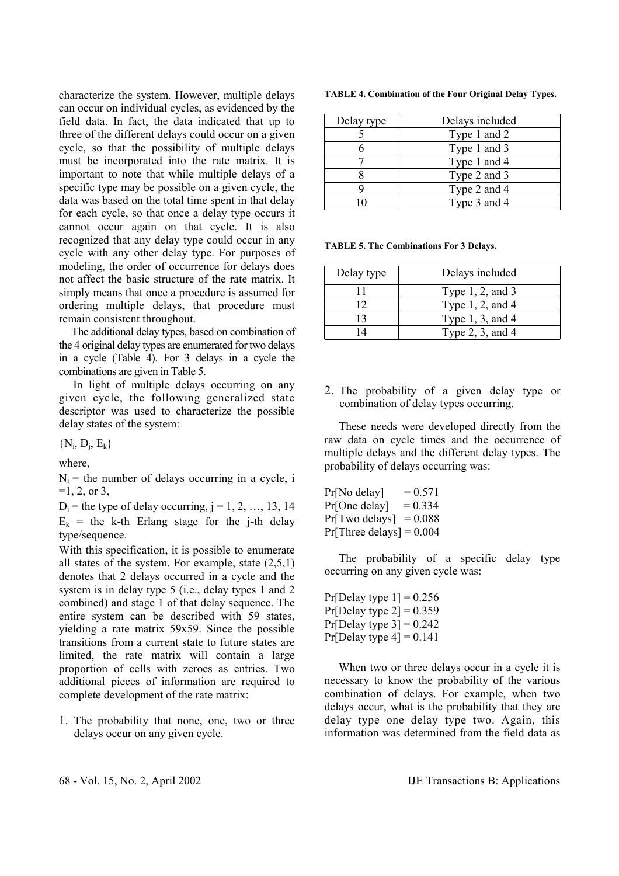characterize the system. However, multiple delays can occur on individual cycles, as evidenced by the field data. In fact, the data indicated that up to three of the different delays could occur on a given cycle, so that the possibility of multiple delays must be incorporated into the rate matrix. It is important to note that while multiple delays of a specific type may be possible on a given cycle, the data was based on the total time spent in that delay for each cycle, so that once a delay type occurs it cannot occur again on that cycle. It is also recognized that any delay type could occur in any cycle with any other delay type. For purposes of modeling, the order of occurrence for delays does not affect the basic structure of the rate matrix. It simply means that once a procedure is assumed for ordering multiple delays, that procedure must remain consistent throughout.

 The additional delay types, based on combination of the 4 original delay types are enumerated for two delays in a cycle (Table 4). For 3 delays in a cycle the combinations are given in Table 5.

 In light of multiple delays occurring on any given cycle, the following generalized state descriptor was used to characterize the possible delay states of the system:

 ${N_i, D_i, E_k}$ 

where,

 $N_i$  = the number of delays occurring in a cycle, i  $=1, 2,$  or 3,

 $D_i$  = the type of delay occurring,  $j = 1, 2, ..., 13, 14$  $E_k$  = the k-th Erlang stage for the j-th delay type/sequence.

With this specification, it is possible to enumerate all states of the system. For example, state (2,5,1) denotes that 2 delays occurred in a cycle and the system is in delay type 5 (i.e., delay types 1 and 2 combined) and stage 1 of that delay sequence. The entire system can be described with 59 states, yielding a rate matrix 59x59. Since the possible transitions from a current state to future states are limited, the rate matrix will contain a large proportion of cells with zeroes as entries. Two additional pieces of information are required to complete development of the rate matrix:

1. The probability that none, one, two or three delays occur on any given cycle.

|  | TABLE 4. Combination of the Four Original Delay Types. |  |  |  |  |
|--|--------------------------------------------------------|--|--|--|--|
|--|--------------------------------------------------------|--|--|--|--|

| Delay type | Delays included |
|------------|-----------------|
|            | Type 1 and 2    |
|            | Type 1 and 3    |
|            | Type 1 and 4    |
|            | Type 2 and 3    |
|            | Type 2 and 4    |
|            | Type 3 and 4    |

**TABLE 5. The Combinations For 3 Delays.** 

| Delay type     | Delays included       |
|----------------|-----------------------|
|                | Type $1, 2$ , and $3$ |
| 12             | Type $1, 2$ , and $4$ |
| $\overline{1}$ | Type $1, 3$ , and $4$ |
| Δ              | Type $2, 3$ , and $4$ |

2. The probability of a given delay type or combination of delay types occurring.

 These needs were developed directly from the raw data on cycle times and the occurrence of multiple delays and the different delay types. The probability of delays occurring was:

 $Pr[No$  delay $] = 0.571$  $Pr[One delay] = 0.334$  $Pr[Two delays] = 0.088$  $Pr[Three delays] = 0.004$ 

 The probability of a specific delay type occurring on any given cycle was:

Pr[Delay type  $1$ ] = 0.256 Pr[Delay type  $2$ ] = 0.359  $Pr[Delay type 3] = 0.242$  $Pr[Delay type 4] = 0.141$ 

When two or three delays occur in a cycle it is necessary to know the probability of the various combination of delays. For example, when two delays occur, what is the probability that they are delay type one delay type two. Again, this information was determined from the field data as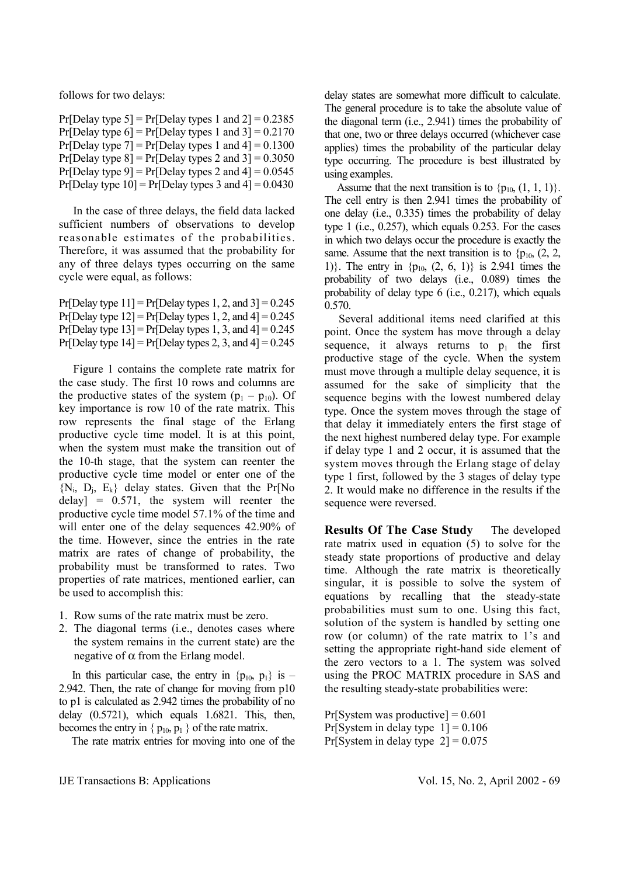follows for two delays:

Pr[Delay type  $5$ ] = Pr[Delay types 1 and  $2$ ] = 0.2385 Pr[Delay type  $6$ ] = Pr[Delay types 1 and  $3$ ] = 0.2170 Pr[Delay type  $7$ ] = Pr[Delay types 1 and  $4$ ] = 0.1300 Pr[Delay type  $8$ ] = Pr[Delay types 2 and  $3$ ] = 0.3050 Pr[Delay type  $9$ ] = Pr[Delay types 2 and  $4$ ] = 0.0545 Pr[Delay type  $10$ ] = Pr[Delay types 3 and  $4$ ] = 0.0430

 In the case of three delays, the field data lacked sufficient numbers of observations to develop reasonable estimates of the probabilities. Therefore, it was assumed that the probability for any of three delays types occurring on the same cycle were equal, as follows:

Pr[Delay type  $11$ ] = Pr[Delay types 1, 2, and  $3$ ] = 0.245 Pr[Delay type  $12$ ] = Pr[Delay types 1, 2, and  $4$ ] = 0.245 Pr[Delay type  $13$ ] = Pr[Delay types 1, 3, and  $4$ ] = 0.245 Pr[Delay type  $14$ ] = Pr[Delay types 2, 3, and  $4$ ] = 0.245

 Figure 1 contains the complete rate matrix for the case study. The first 10 rows and columns are the productive states of the system  $(p_1 - p_{10})$ . Of key importance is row 10 of the rate matrix. This row represents the final stage of the Erlang productive cycle time model. It is at this point, when the system must make the transition out of the 10-th stage, that the system can reenter the productive cycle time model or enter one of the  ${N_i, D_i, E_k}$  delay states. Given that the Pr[No delay] =  $0.571$ , the system will reenter the productive cycle time model 57.1% of the time and will enter one of the delay sequences 42.90% of the time. However, since the entries in the rate matrix are rates of change of probability, the probability must be transformed to rates. Two properties of rate matrices, mentioned earlier, can be used to accomplish this:

- 1. Row sums of the rate matrix must be zero.
- 2. The diagonal terms (i.e., denotes cases where the system remains in the current state) are the negative of  $\alpha$  from the Erlang model.

In this particular case, the entry in  $\{p_{10}, p_1\}$  is – 2.942. Then, the rate of change for moving from p10 to p1 is calculated as 2.942 times the probability of no delay (0.5721), which equals 1.6821. This, then, becomes the entry in  $\{p_{10}, p_1\}$  of the rate matrix.

The rate matrix entries for moving into one of the

delay states are somewhat more difficult to calculate. The general procedure is to take the absolute value of the diagonal term (i.e., 2.941) times the probability of that one, two or three delays occurred (whichever case applies) times the probability of the particular delay type occurring. The procedure is best illustrated by using examples.

Assume that the next transition is to  ${p_{10, 1, 1, 1}}$ . The cell entry is then 2.941 times the probability of one delay (i.e., 0.335) times the probability of delay type 1 (i.e., 0.257), which equals 0.253. For the cases in which two delays occur the procedure is exactly the same. Assume that the next transition is to  ${p_{10, 2, 2, \dots}}$ 1). The entry in  $\{p_{10}, (2, 6, 1)\}\$ is 2.941 times the probability of two delays (i.e., 0.089) times the probability of delay type 6 (i.e., 0.217), which equals 0.570.

 Several additional items need clarified at this point. Once the system has move through a delay sequence, it always returns to  $p_1$  the first productive stage of the cycle. When the system must move through a multiple delay sequence, it is assumed for the sake of simplicity that the sequence begins with the lowest numbered delay type. Once the system moves through the stage of that delay it immediately enters the first stage of the next highest numbered delay type. For example if delay type 1 and 2 occur, it is assumed that the system moves through the Erlang stage of delay type 1 first, followed by the 3 stages of delay type 2. It would make no difference in the results if the sequence were reversed.

**Results Of The Case Study** The developed rate matrix used in equation (5) to solve for the steady state proportions of productive and delay time. Although the rate matrix is theoretically singular, it is possible to solve the system of equations by recalling that the steady-state probabilities must sum to one. Using this fact, solution of the system is handled by setting one row (or column) of the rate matrix to 1's and setting the appropriate right-hand side element of the zero vectors to a 1. The system was solved using the PROC MATRIX procedure in SAS and the resulting steady-state probabilities were:

 $Pr[S$ ystem was productive $] = 0.601$ Pr[System in delay type  $1$ ] = 0.106 Pr[System in delay type  $2$ ] = 0.075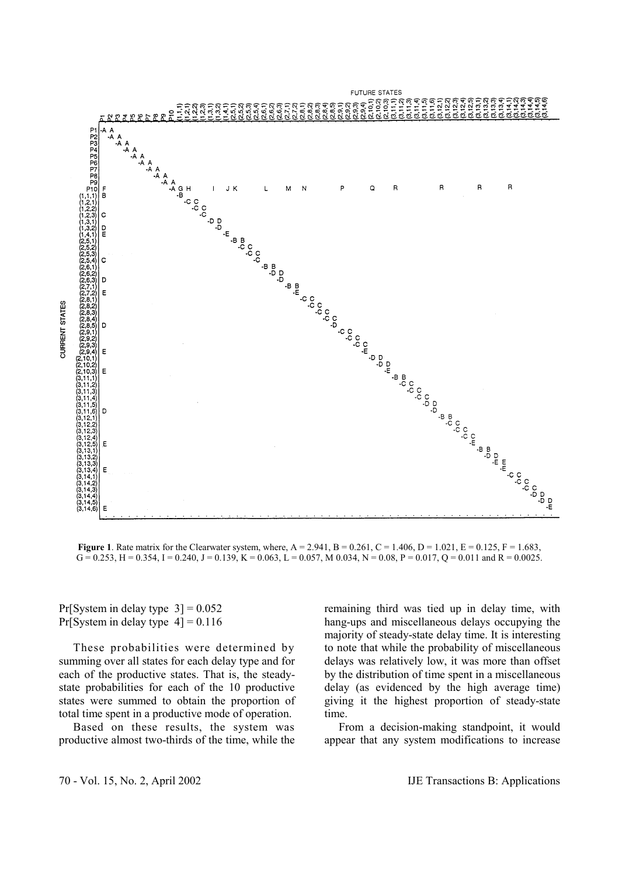

 $G = 0.253$ , H = 0.354, I = 0.240, J = 0.139, K = 0.063, L = 0.057, M 0.034, N = 0.08, P = 0.017, Q = 0.011 and R = 0.0025.

Pr[System in delay type  $3$ ] = 0.052 Pr[System in delay type  $4$ ] = 0.116

 These probabilities were determined by summing over all states for each delay type and for each of the productive states. That is, the steadystate probabilities for each of the 10 productive states were summed to obtain the proportion of total time spent in a productive mode of operation.

 Based on these results, the system was productive almost two-thirds of the time, while the remaining third was tied up in delay time, with hang-ups and miscellaneous delays occupying the majority of steady-state delay time. It is interesting to note that while the probability of miscellaneous delays was relatively low, it was more than offset by the distribution of time spent in a miscellaneous delay (as evidenced by the high average time) giving it the highest proportion of steady-state time.

 From a decision-making standpoint, it would appear that any system modifications to increase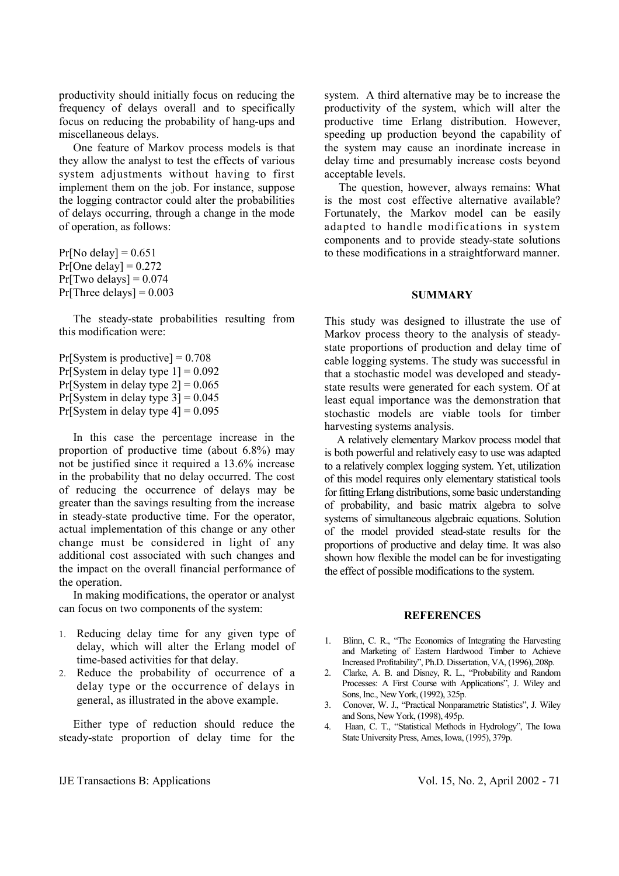productivity should initially focus on reducing the frequency of delays overall and to specifically focus on reducing the probability of hang-ups and miscellaneous delays.

 One feature of Markov process models is that they allow the analyst to test the effects of various system adjustments without having to first implement them on the job. For instance, suppose the logging contractor could alter the probabilities of delays occurring, through a change in the mode of operation, as follows:

 $Pr[No$  delay] = 0.651  $Pr[One delay] = 0.272$  $Pr[Two$  delays $] = 0.074$  $Pr[Three delays] = 0.003$ 

 The steady-state probabilities resulting from this modification were:

 $Pr[S$ ystem is productive] = 0.708 Pr[System in delay type  $1$ ] = 0.092 Pr[System in delay type  $2$ ] = 0.065 Pr[System in delay type  $3$ ] = 0.045 Pr[System in delay type  $4$ ] = 0.095

 In this case the percentage increase in the proportion of productive time (about 6.8%) may not be justified since it required a 13.6% increase in the probability that no delay occurred. The cost of reducing the occurrence of delays may be greater than the savings resulting from the increase in steady-state productive time. For the operator, actual implementation of this change or any other change must be considered in light of any additional cost associated with such changes and the impact on the overall financial performance of the operation.

 In making modifications, the operator or analyst can focus on two components of the system:

- 1. Reducing delay time for any given type of delay, which will alter the Erlang model of time-based activities for that delay.
- 2. Reduce the probability of occurrence of a delay type or the occurrence of delays in general, as illustrated in the above example.

 Either type of reduction should reduce the steady-state proportion of delay time for the system. A third alternative may be to increase the productivity of the system, which will alter the productive time Erlang distribution. However, speeding up production beyond the capability of the system may cause an inordinate increase in delay time and presumably increase costs beyond acceptable levels.

 The question, however, always remains: What is the most cost effective alternative available? Fortunately, the Markov model can be easily adapted to handle modifications in system components and to provide steady-state solutions to these modifications in a straightforward manner.

#### **SUMMARY**

This study was designed to illustrate the use of Markov process theory to the analysis of steadystate proportions of production and delay time of cable logging systems. The study was successful in that a stochastic model was developed and steadystate results were generated for each system. Of at least equal importance was the demonstration that stochastic models are viable tools for timber harvesting systems analysis.

 A relatively elementary Markov process model that is both powerful and relatively easy to use was adapted to a relatively complex logging system. Yet, utilization of this model requires only elementary statistical tools for fitting Erlang distributions, some basic understanding of probability, and basic matrix algebra to solve systems of simultaneous algebraic equations. Solution of the model provided stead-state results for the proportions of productive and delay time. It was also shown how flexible the model can be for investigating the effect of possible modifications to the system.

#### **REFERENCES**

- 1. Blinn, C. R., "The Economics of Integrating the Harvesting and Marketing of Eastern Hardwood Timber to Achieve Increased Profitability", Ph.D. Dissertation, VA, (1996),.208p.
- 2. Clarke, A. B. and Disney, R. L., "Probability and Random Processes: A First Course with Applications", J. Wiley and Sons, Inc., New York, (1992), 325p.
- 3. Conover, W. J., "Practical Nonparametric Statistics", J. Wiley and Sons, New York, (1998), 495p.
- 4. Haan, C. T., "Statistical Methods in Hydrology", The Iowa State University Press, Ames, Iowa, (1995), 379p.